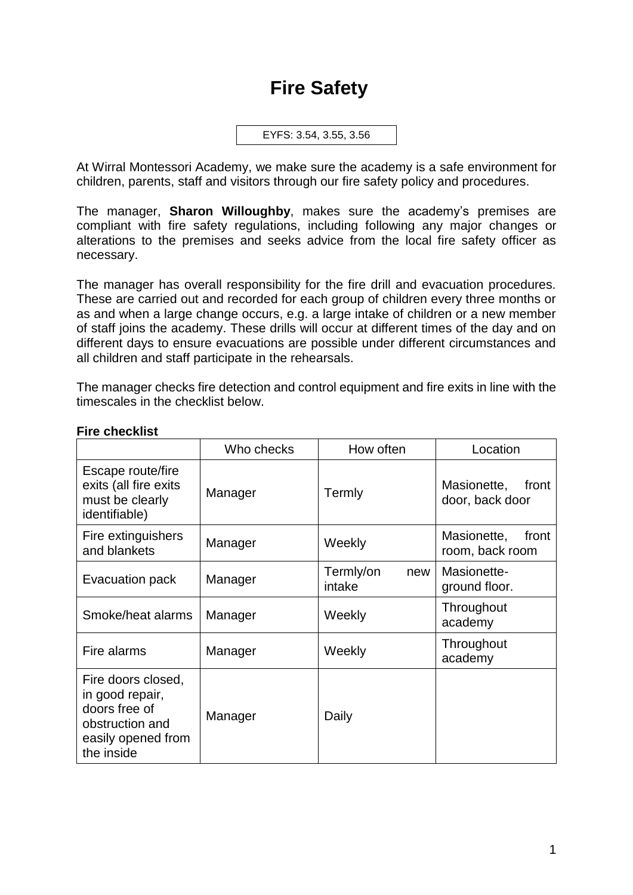# **Fire Safety**

```
EYFS: 3.54, 3.55, 3.56
```
At Wirral Montessori Academy, we make sure the academy is a safe environment for children, parents, staff and visitors through our fire safety policy and procedures.

The manager, **Sharon Willoughby**, makes sure the academy's premises are compliant with fire safety regulations, including following any major changes or alterations to the premises and seeks advice from the local fire safety officer as necessary.

The manager has overall responsibility for the fire drill and evacuation procedures. These are carried out and recorded for each group of children every three months or as and when a large change occurs, e.g. a large intake of children or a new member of staff joins the academy. These drills will occur at different times of the day and on different days to ensure evacuations are possible under different circumstances and all children and staff participate in the rehearsals.

The manager checks fire detection and control equipment and fire exits in line with the timescales in the checklist below.

|                                                                                                               | Who checks | How often                  | Location                                |
|---------------------------------------------------------------------------------------------------------------|------------|----------------------------|-----------------------------------------|
| Escape route/fire<br>exits (all fire exits<br>must be clearly<br>identifiable)                                | Manager    | Termly                     | Masionette,<br>front<br>door, back door |
| Fire extinguishers<br>and blankets                                                                            | Manager    | Weekly                     | Masionette,<br>front<br>room, back room |
| Evacuation pack                                                                                               | Manager    | Termly/on<br>new<br>intake | Masionette-<br>ground floor.            |
| Smoke/heat alarms                                                                                             | Manager    | Weekly                     | Throughout<br>academy                   |
| Fire alarms                                                                                                   | Manager    | Weekly                     | Throughout<br>academy                   |
| Fire doors closed,<br>in good repair,<br>doors free of<br>obstruction and<br>easily opened from<br>the inside | Manager    | Daily                      |                                         |

## **Fire checklist**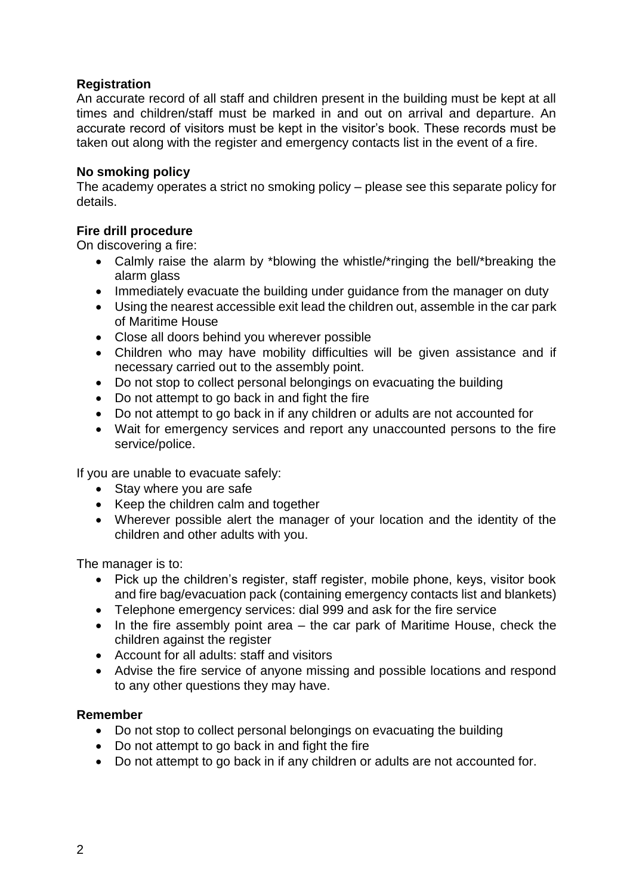## **Registration**

An accurate record of all staff and children present in the building must be kept at all times and children/staff must be marked in and out on arrival and departure. An accurate record of visitors must be kept in the visitor's book. These records must be taken out along with the register and emergency contacts list in the event of a fire.

### **No smoking policy**

The academy operates a strict no smoking policy – please see this separate policy for details.

## **Fire drill procedure**

On discovering a fire:

- Calmly raise the alarm by \*blowing the whistle/\*ringing the bell/\*breaking the alarm glass
- Immediately evacuate the building under guidance from the manager on duty
- Using the nearest accessible exit lead the children out, assemble in the car park of Maritime House
- Close all doors behind you wherever possible
- Children who may have mobility difficulties will be given assistance and if necessary carried out to the assembly point.
- Do not stop to collect personal belongings on evacuating the building
- Do not attempt to go back in and fight the fire
- Do not attempt to go back in if any children or adults are not accounted for
- Wait for emergency services and report any unaccounted persons to the fire service/police.

If you are unable to evacuate safely:

- Stay where you are safe
- Keep the children calm and together
- Wherever possible alert the manager of your location and the identity of the children and other adults with you.

The manager is to:

- Pick up the children's register, staff register, mobile phone, keys, visitor book and fire bag/evacuation pack (containing emergency contacts list and blankets)
- Telephone emergency services: dial 999 and ask for the fire service
- In the fire assembly point area the car park of Maritime House, check the children against the register
- Account for all adults: staff and visitors
- Advise the fire service of anyone missing and possible locations and respond to any other questions they may have.

#### **Remember**

- Do not stop to collect personal belongings on evacuating the building
- Do not attempt to go back in and fight the fire
- Do not attempt to go back in if any children or adults are not accounted for.